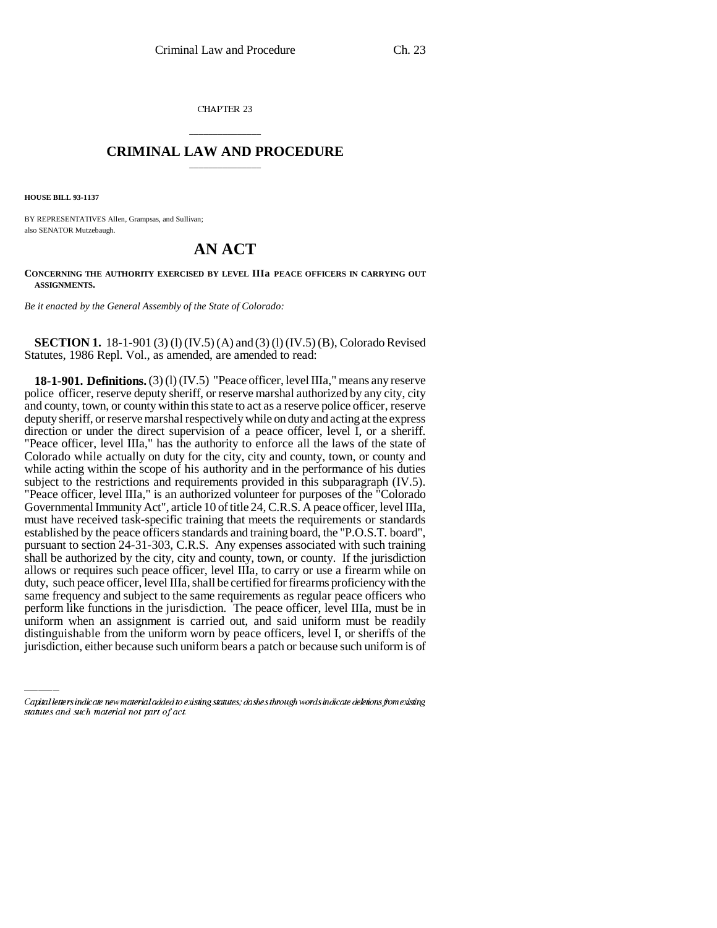CHAPTER 23

## \_\_\_\_\_\_\_\_\_\_\_\_\_\_\_ **CRIMINAL LAW AND PROCEDURE** \_\_\_\_\_\_\_\_\_\_\_\_\_\_\_

**HOUSE BILL 93-1137**

BY REPRESENTATIVES Allen, Grampsas, and Sullivan; also SENATOR Mutzebaugh.

## **AN ACT**

**CONCERNING THE AUTHORITY EXERCISED BY LEVEL IIIa PEACE OFFICERS IN CARRYING OUT ASSIGNMENTS.**

*Be it enacted by the General Assembly of the State of Colorado:*

**SECTION 1.** 18-1-901 (3) (1) (IV.5) (A) and (3) (1) (IV.5) (B), Colorado Revised Statutes, 1986 Repl. Vol., as amended, are amended to read:

same requency and subject to the same requirements as regular peace orricers who<br>perform like functions in the jurisdiction. The peace officer, level IIIa, must be in **18-1-901. Definitions.** (3) (l) (IV.5) "Peace officer, level IIIa," means any reserve police officer, reserve deputy sheriff, or reserve marshal authorized by any city, city and county, town, or county within this state to act as a reserve police officer, reserve deputy sheriff, or reserve marshal respectively while on duty and acting at the express direction or under the direct supervision of a peace officer, level I, or a sheriff. "Peace officer, level IIIa," has the authority to enforce all the laws of the state of Colorado while actually on duty for the city, city and county, town, or county and while acting within the scope of his authority and in the performance of his duties subject to the restrictions and requirements provided in this subparagraph (IV.5). "Peace officer, level IIIa," is an authorized volunteer for purposes of the "Colorado Governmental Immunity Act", article 10 of title 24, C.R.S. A peace officer, level IIIa, must have received task-specific training that meets the requirements or standards established by the peace officers standards and training board, the "P.O.S.T. board", pursuant to section 24-31-303, C.R.S. Any expenses associated with such training shall be authorized by the city, city and county, town, or county. If the jurisdiction allows or requires such peace officer, level IIIa, to carry or use a firearm while on duty, such peace officer, level IIIa, shall be certified for firearms proficiency with the same frequency and subject to the same requirements as regular peace officers who uniform when an assignment is carried out, and said uniform must be readily distinguishable from the uniform worn by peace officers, level I, or sheriffs of the jurisdiction, either because such uniform bears a patch or because such uniform is of

Capital letters indicate new material added to existing statutes; dashes through words indicate deletions from existing statutes and such material not part of act.